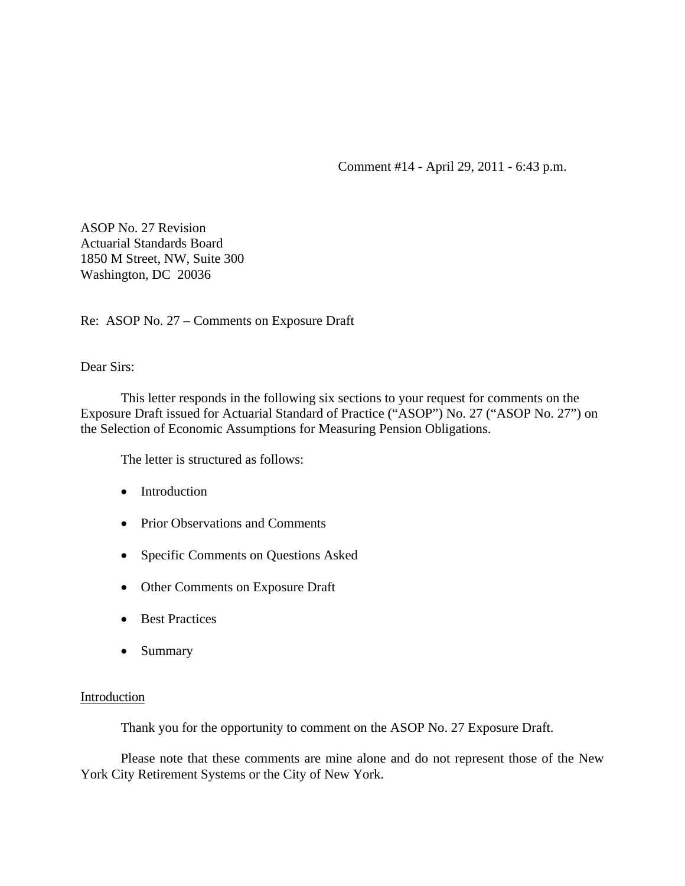Comment #14 - April 29, 2011 - 6:43 p.m.

ASOP No. 27 Revision Actuarial Standards Board 1850 M Street, NW, Suite 300 Washington, DC 20036

Re: ASOP No. 27 – Comments on Exposure Draft

Dear Sirs:

This letter responds in the following six sections to your request for comments on the Exposure Draft issued for Actuarial Standard of Practice ("ASOP") No. 27 ("ASOP No. 27") on the Selection of Economic Assumptions for Measuring Pension Obligations.

The letter is structured as follows:

- Introduction
- Prior Observations and Comments
- Specific Comments on Questions Asked
- Other Comments on Exposure Draft
- Best Practices
- Summary

# **Introduction**

Thank you for the opportunity to comment on the ASOP No. 27 Exposure Draft.

 Please note that these comments are mine alone and do not represent those of the New York City Retirement Systems or the City of New York.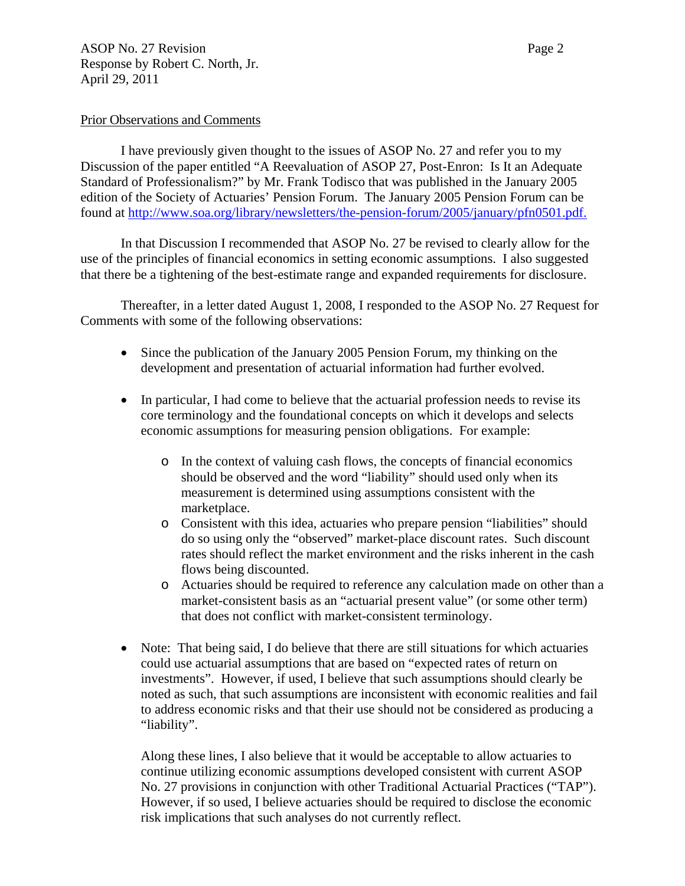ASOP No. 27 Revision Page 2 Response by Robert C. North, Jr. April 29, 2011

#### Prior Observations and Comments

I have previously given thought to the issues of ASOP No. 27 and refer you to my Discussion of the paper entitled "A Reevaluation of ASOP 27, Post-Enron: Is It an Adequate Standard of Professionalism?" by Mr. Frank Todisco that was published in the January 2005 edition of the Society of Actuaries' Pension Forum. The January 2005 Pension Forum can be found at [http://www.soa.org/library/newsletters/the-pension-forum/2005/january/pfn0501.pdf.](http://www.soa.org/library/newsletters/the-pension-forum/2005/january/pfn0501.pdf)

In that Discussion I recommended that ASOP No. 27 be revised to clearly allow for the use of the principles of financial economics in setting economic assumptions. I also suggested that there be a tightening of the best-estimate range and expanded requirements for disclosure.

 Thereafter, in a letter dated August 1, 2008, I responded to the ASOP No. 27 Request for Comments with some of the following observations:

- Since the publication of the January 2005 Pension Forum, my thinking on the development and presentation of actuarial information had further evolved.
- In particular, I had come to believe that the actuarial profession needs to revise its core terminology and the foundational concepts on which it develops and selects economic assumptions for measuring pension obligations. For example:
	- o In the context of valuing cash flows, the concepts of financial economics should be observed and the word "liability" should used only when its measurement is determined using assumptions consistent with the marketplace.
	- o Consistent with this idea, actuaries who prepare pension "liabilities" should do so using only the "observed" market-place discount rates. Such discount rates should reflect the market environment and the risks inherent in the cash flows being discounted.
	- o Actuaries should be required to reference any calculation made on other than a market-consistent basis as an "actuarial present value" (or some other term) that does not conflict with market-consistent terminology.
- Note: That being said, I do believe that there are still situations for which actuaries could use actuarial assumptions that are based on "expected rates of return on investments". However, if used, I believe that such assumptions should clearly be noted as such, that such assumptions are inconsistent with economic realities and fail to address economic risks and that their use should not be considered as producing a "liability".

Along these lines, I also believe that it would be acceptable to allow actuaries to continue utilizing economic assumptions developed consistent with current ASOP No. 27 provisions in conjunction with other Traditional Actuarial Practices ("TAP"). However, if so used, I believe actuaries should be required to disclose the economic risk implications that such analyses do not currently reflect.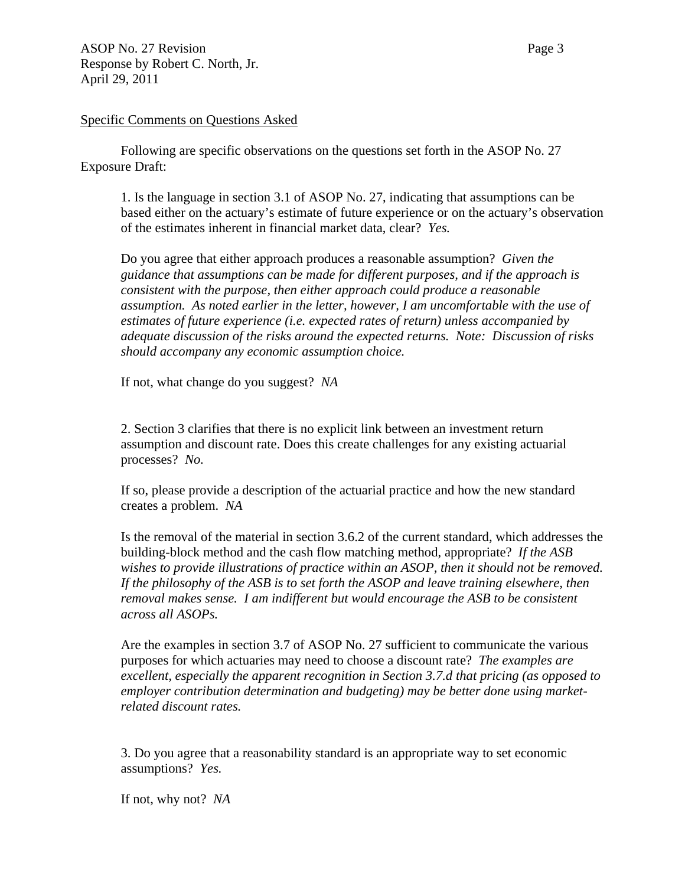#### Specific Comments on Questions Asked

Following are specific observations on the questions set forth in the ASOP No. 27 Exposure Draft:

1. Is the language in section 3.1 of ASOP No. 27, indicating that assumptions can be based either on the actuary's estimate of future experience or on the actuary's observation of the estimates inherent in financial market data, clear? *Yes.* 

Do you agree that either approach produces a reasonable assumption? *Given the guidance that assumptions can be made for different purposes, and if the approach is consistent with the purpose, then either approach could produce a reasonable assumption. As noted earlier in the letter, however, I am uncomfortable with the use of estimates of future experience (i.e. expected rates of return) unless accompanied by adequate discussion of the risks around the expected returns. Note: Discussion of risks should accompany any economic assumption choice.* 

If not, what change do you suggest? *NA* 

2. Section 3 clarifies that there is no explicit link between an investment return assumption and discount rate. Does this create challenges for any existing actuarial processes? *No.* 

If so, please provide a description of the actuarial practice and how the new standard creates a problem. *NA*

Is the removal of the material in section 3.6.2 of the current standard, which addresses the building-block method and the cash flow matching method, appropriate? *If the ASB wishes to provide illustrations of practice within an ASOP, then it should not be removed. If the philosophy of the ASB is to set forth the ASOP and leave training elsewhere, then removal makes sense. I am indifferent but would encourage the ASB to be consistent across all ASOPs.* 

Are the examples in section 3.7 of ASOP No. 27 sufficient to communicate the various purposes for which actuaries may need to choose a discount rate? *The examples are excellent, especially the apparent recognition in Section 3.7.d that pricing (as opposed to employer contribution determination and budgeting) may be better done using marketrelated discount rates.* 

3. Do you agree that a reasonability standard is an appropriate way to set economic assumptions? *Yes.* 

If not, why not? *NA*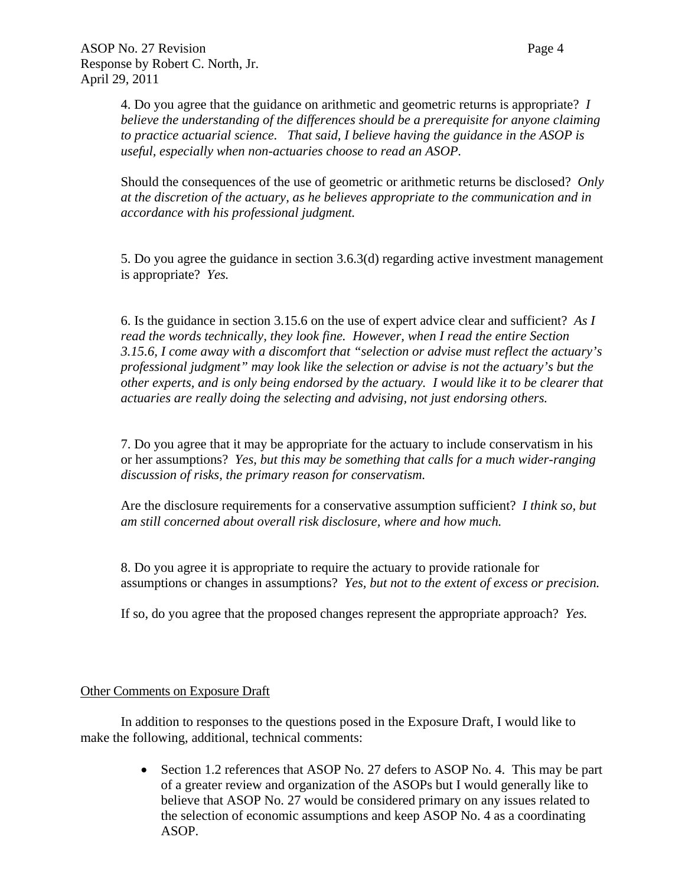4. Do you agree that the guidance on arithmetic and geometric returns is appropriate? *I believe the understanding of the differences should be a prerequisite for anyone claiming to practice actuarial science. That said, I believe having the guidance in the ASOP is useful, especially when non-actuaries choose to read an ASOP.* 

Should the consequences of the use of geometric or arithmetic returns be disclosed? *Only at the discretion of the actuary, as he believes appropriate to the communication and in accordance with his professional judgment.* 

5. Do you agree the guidance in section 3.6.3(d) regarding active investment management is appropriate? *Yes.* 

6. Is the guidance in section 3.15.6 on the use of expert advice clear and sufficient? *As I read the words technically, they look fine. However, when I read the entire Section 3.15.6, I come away with a discomfort that "selection or advise must reflect the actuary's professional judgment" may look like the selection or advise is not the actuary's but the other experts, and is only being endorsed by the actuary. I would like it to be clearer that actuaries are really doing the selecting and advising, not just endorsing others.* 

7. Do you agree that it may be appropriate for the actuary to include conservatism in his or her assumptions? *Yes, but this may be something that calls for a much wider-ranging discussion of risks, the primary reason for conservatism.* 

Are the disclosure requirements for a conservative assumption sufficient? *I think so, but am still concerned about overall risk disclosure, where and how much.* 

8. Do you agree it is appropriate to require the actuary to provide rationale for assumptions or changes in assumptions? *Yes, but not to the extent of excess or precision.* 

If so, do you agree that the proposed changes represent the appropriate approach? *Yes.* 

# Other Comments on Exposure Draft

 In addition to responses to the questions posed in the Exposure Draft, I would like to make the following, additional, technical comments:

> • Section 1.2 references that ASOP No. 27 defers to ASOP No. 4. This may be part of a greater review and organization of the ASOPs but I would generally like to believe that ASOP No. 27 would be considered primary on any issues related to the selection of economic assumptions and keep ASOP No. 4 as a coordinating ASOP.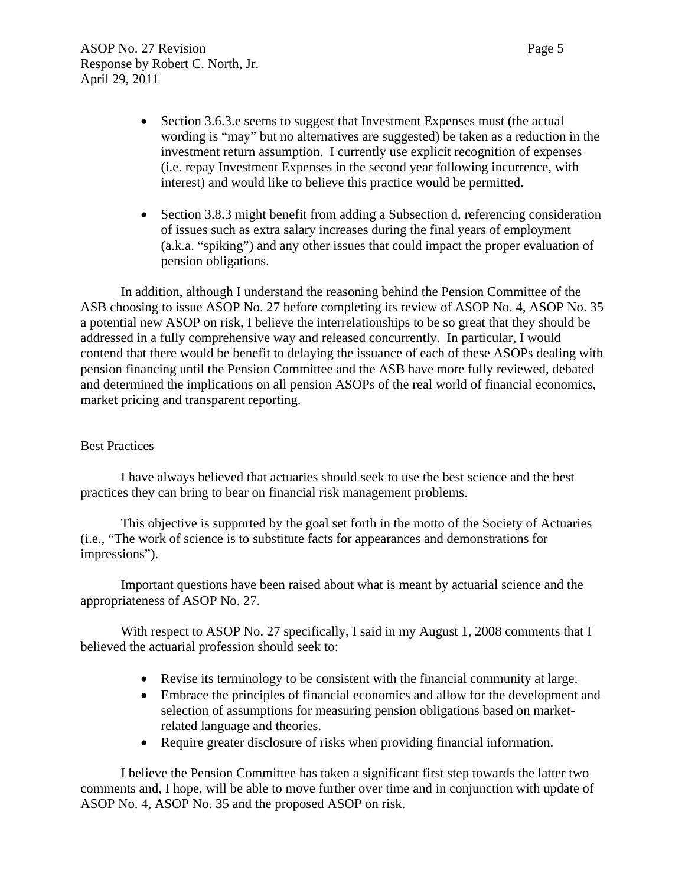- Section 3.6.3.e seems to suggest that Investment Expenses must (the actual wording is "may" but no alternatives are suggested) be taken as a reduction in the investment return assumption. I currently use explicit recognition of expenses (i.e. repay Investment Expenses in the second year following incurrence, with interest) and would like to believe this practice would be permitted.
- Section 3.8.3 might benefit from adding a Subsection d. referencing consideration of issues such as extra salary increases during the final years of employment (a.k.a. "spiking") and any other issues that could impact the proper evaluation of pension obligations.

In addition, although I understand the reasoning behind the Pension Committee of the ASB choosing to issue ASOP No. 27 before completing its review of ASOP No. 4, ASOP No. 35 a potential new ASOP on risk, I believe the interrelationships to be so great that they should be addressed in a fully comprehensive way and released concurrently. In particular, I would contend that there would be benefit to delaying the issuance of each of these ASOPs dealing with pension financing until the Pension Committee and the ASB have more fully reviewed, debated and determined the implications on all pension ASOPs of the real world of financial economics, market pricing and transparent reporting.

# Best Practices

I have always believed that actuaries should seek to use the best science and the best practices they can bring to bear on financial risk management problems.

This objective is supported by the goal set forth in the motto of the Society of Actuaries (i.e., "The work of science is to substitute facts for appearances and demonstrations for impressions").

Important questions have been raised about what is meant by actuarial science and the appropriateness of ASOP No. 27.

With respect to ASOP No. 27 specifically, I said in my August 1, 2008 comments that I believed the actuarial profession should seek to:

- Revise its terminology to be consistent with the financial community at large.
- Embrace the principles of financial economics and allow for the development and selection of assumptions for measuring pension obligations based on marketrelated language and theories.
- Require greater disclosure of risks when providing financial information.

I believe the Pension Committee has taken a significant first step towards the latter two comments and, I hope, will be able to move further over time and in conjunction with update of ASOP No. 4, ASOP No. 35 and the proposed ASOP on risk.